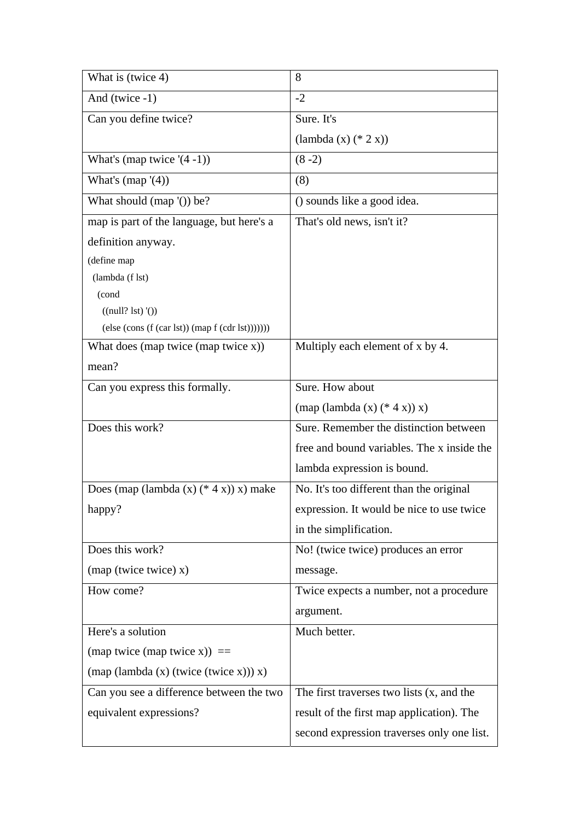| What is (twice 4)                                                   | 8                                            |
|---------------------------------------------------------------------|----------------------------------------------|
| And (twice -1)                                                      | $-2$                                         |
| Can you define twice?                                               | Sure. It's                                   |
|                                                                     | $(lambda(x) (* 2 x))$                        |
| What's (map twice $(4-1)$ )                                         | $(8-2)$                                      |
| What's $(\text{map } '(4))$                                         | (8)                                          |
| What should $(\text{map } '())$ be?                                 | () sounds like a good idea.                  |
| map is part of the language, but here's a                           | That's old news, isn't it?                   |
| definition anyway.                                                  |                                              |
| (define map                                                         |                                              |
| (lambda (f lst)                                                     |                                              |
| (cond                                                               |                                              |
| ((null? 1st) '())                                                   |                                              |
| $(else (cons (f (car 1st)) (map f (cdr 1st)))))))$                  |                                              |
| What does (map twice (map twice $x$ ))                              | Multiply each element of x by 4.             |
| mean?                                                               |                                              |
| Can you express this formally.                                      | Sure. How about                              |
|                                                                     | $(\text{map} (\text{lambda} (x) (* 4 x)) x)$ |
| Does this work?                                                     | Sure. Remember the distinction between       |
|                                                                     | free and bound variables. The x inside the   |
|                                                                     | lambda expression is bound.                  |
| Does (map (lambda $(x)$ $(* 4 x)$ ) x) make                         | No. It's too different than the original     |
| happy?                                                              | expression. It would be nice to use twice    |
|                                                                     | in the simplification.                       |
| Does this work?                                                     | No! (twice twice) produces an error          |
| $(\text{map} (\text{twice twice}) x)$                               | message.                                     |
| How come?                                                           | Twice expects a number, not a procedure      |
|                                                                     | argument.                                    |
| Here's a solution                                                   | Much better.                                 |
| (map twice (map twice x)) $==$                                      |                                              |
| $(\text{map} (\text{lambda}(x) (\text{twice} (\text{twice} x))) x)$ |                                              |
| Can you see a difference between the two                            | The first traverses two lists $(x,$ and the  |
| equivalent expressions?                                             | result of the first map application). The    |
|                                                                     | second expression traverses only one list.   |
|                                                                     |                                              |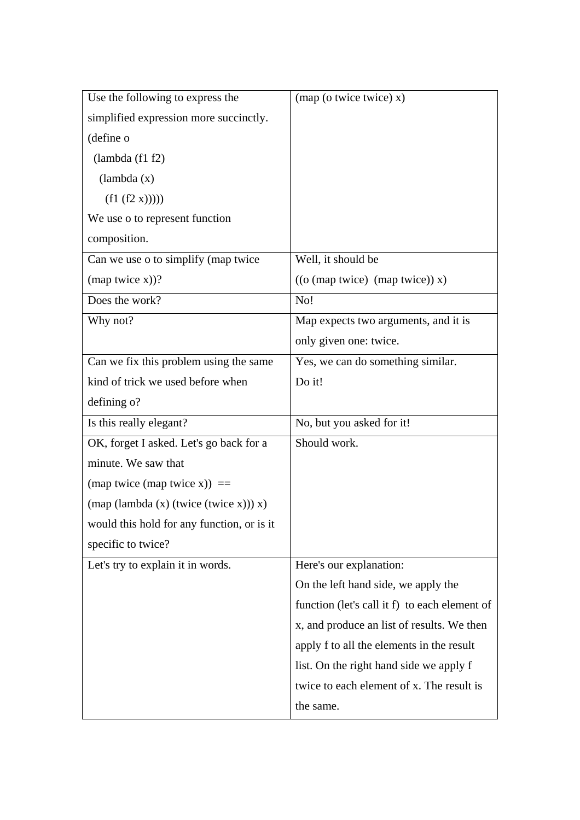| Use the following to express the                                    | $(\text{map}(\text{o twice twice}) \times)$   |
|---------------------------------------------------------------------|-----------------------------------------------|
| simplified expression more succinctly.                              |                                               |
| (define o                                                           |                                               |
| (lambda (f1 f2)                                                     |                                               |
| (lambda(x))                                                         |                                               |
| (f1 (f2 x))))                                                       |                                               |
| We use o to represent function                                      |                                               |
| composition.                                                        |                                               |
| Can we use o to simplify (map twice                                 | Well, it should be                            |
| $(\text{map twice x}))$ ?                                           | ((o (map twice) (map twice)) x)               |
| Does the work?                                                      | No!                                           |
| Why not?                                                            | Map expects two arguments, and it is          |
|                                                                     | only given one: twice.                        |
| Can we fix this problem using the same                              | Yes, we can do something similar.             |
| kind of trick we used before when                                   | Do it!                                        |
| defining o?                                                         |                                               |
| Is this really elegant?                                             | No, but you asked for it!                     |
| OK, forget I asked. Let's go back for a                             | Should work.                                  |
| minute. We saw that                                                 |                                               |
| (map twice (map twice x)) $==$                                      |                                               |
| $(\text{map} (\text{lambda}(x) (\text{twice} (\text{twice} x))) x)$ |                                               |
| would this hold for any function, or is it                          |                                               |
| specific to twice?                                                  |                                               |
| Let's try to explain it in words.                                   |                                               |
|                                                                     | Here's our explanation:                       |
|                                                                     | On the left hand side, we apply the           |
|                                                                     | function (let's call it f) to each element of |
|                                                                     | x, and produce an list of results. We then    |
|                                                                     | apply f to all the elements in the result     |
|                                                                     | list. On the right hand side we apply f       |
|                                                                     | twice to each element of x. The result is     |
|                                                                     | the same.                                     |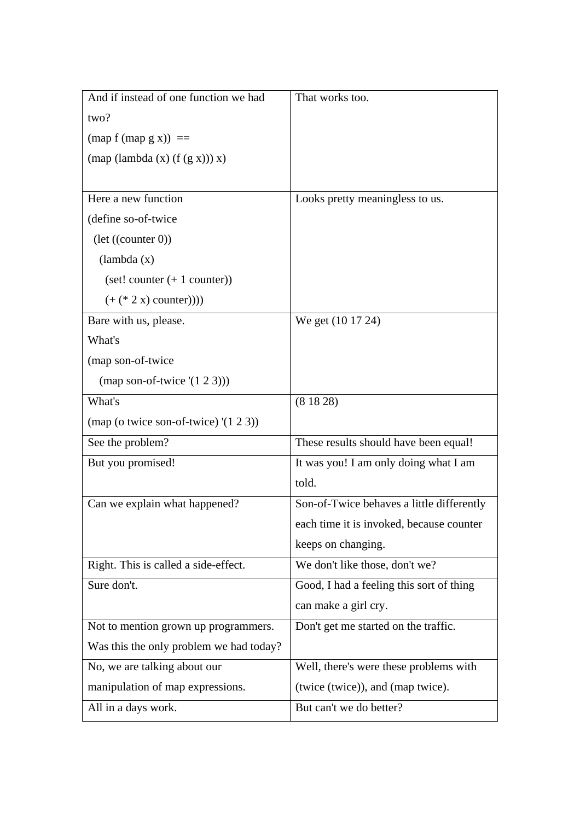| And if instead of one function we had        | That works too.                           |
|----------------------------------------------|-------------------------------------------|
| two?                                         |                                           |
| $(\text{map } f \text{ (map } g x)) ==$      |                                           |
| $(\text{map} (\text{lambda}(x) (f(g x))) x)$ |                                           |
|                                              |                                           |
| Here a new function                          | Looks pretty meaningless to us.           |
| (define so-of-twice                          |                                           |
| $(\text{let } ((\text{counter } 0))$         |                                           |
| (lambda(x))                                  |                                           |
| $(set! counter (+ 1 counter))$               |                                           |
| $(+ (* 2 x)$ counter))))                     |                                           |
| Bare with us, please.                        | We get (10 17 24)                         |
| What's                                       |                                           |
| (map son-of-twice                            |                                           |
| (map son-of-twice $(1 2 3))$ )               |                                           |
| What's                                       | (81828)                                   |
| (map (o twice son-of-twice) $(1 2 3)$ )      |                                           |
| See the problem?                             | These results should have been equal!     |
| But you promised!                            | It was you! I am only doing what I am     |
|                                              | told.                                     |
| Can we explain what happened?                | Son-of-Twice behaves a little differently |
|                                              | each time it is invoked, because counter  |
|                                              | keeps on changing.                        |
| Right. This is called a side-effect.         | We don't like those, don't we?            |
| Sure don't.                                  | Good, I had a feeling this sort of thing  |
|                                              | can make a girl cry.                      |
| Not to mention grown up programmers.         | Don't get me started on the traffic.      |
| Was this the only problem we had today?      |                                           |
| No, we are talking about our                 | Well, there's were these problems with    |
| manipulation of map expressions.             | (twice (twice)), and (map twice).         |
| All in a days work.                          | But can't we do better?                   |